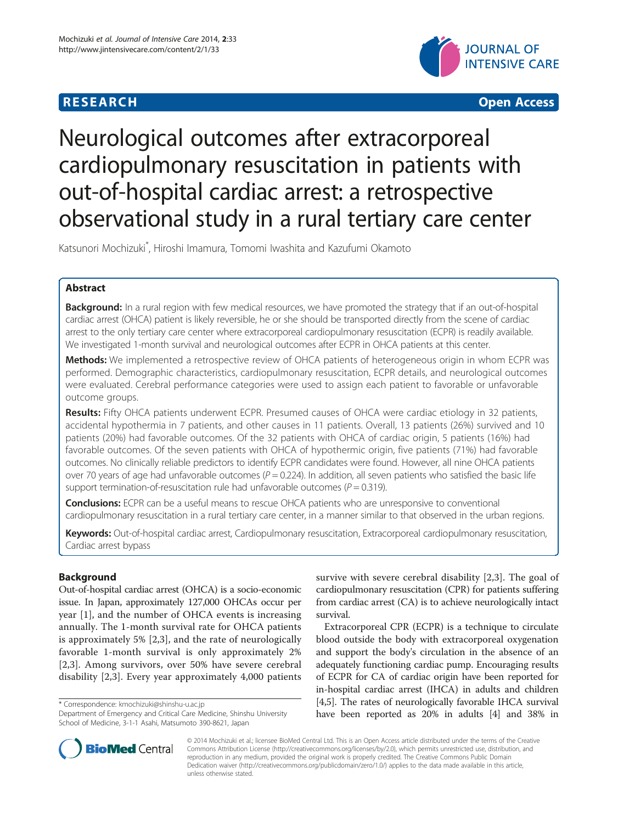## **RESEARCH CHINESE ARCH CHINESE ARCH CHINESE ARCH <b>CHINESE ARCH**



# Neurological outcomes after extracorporeal cardiopulmonary resuscitation in patients with out-of-hospital cardiac arrest: a retrospective observational study in a rural tertiary care center

Katsunori Mochizuki\* , Hiroshi Imamura, Tomomi Iwashita and Kazufumi Okamoto

## Abstract

**Background:** In a rural region with few medical resources, we have promoted the strategy that if an out-of-hospital cardiac arrest (OHCA) patient is likely reversible, he or she should be transported directly from the scene of cardiac arrest to the only tertiary care center where extracorporeal cardiopulmonary resuscitation (ECPR) is readily available. We investigated 1-month survival and neurological outcomes after ECPR in OHCA patients at this center.

Methods: We implemented a retrospective review of OHCA patients of heterogeneous origin in whom ECPR was performed. Demographic characteristics, cardiopulmonary resuscitation, ECPR details, and neurological outcomes were evaluated. Cerebral performance categories were used to assign each patient to favorable or unfavorable outcome groups.

Results: Fifty OHCA patients underwent ECPR. Presumed causes of OHCA were cardiac etiology in 32 patients, accidental hypothermia in 7 patients, and other causes in 11 patients. Overall, 13 patients (26%) survived and 10 patients (20%) had favorable outcomes. Of the 32 patients with OHCA of cardiac origin, 5 patients (16%) had favorable outcomes. Of the seven patients with OHCA of hypothermic origin, five patients (71%) had favorable outcomes. No clinically reliable predictors to identify ECPR candidates were found. However, all nine OHCA patients over 70 years of age had unfavorable outcomes ( $P = 0.224$ ). In addition, all seven patients who satisfied the basic life support termination-of-resuscitation rule had unfavorable outcomes ( $P = 0.319$ ).

**Conclusions:** ECPR can be a useful means to rescue OHCA patients who are unresponsive to conventional cardiopulmonary resuscitation in a rural tertiary care center, in a manner similar to that observed in the urban regions.

Keywords: Out-of-hospital cardiac arrest, Cardiopulmonary resuscitation, Extracorporeal cardiopulmonary resuscitation, Cardiac arrest bypass

## Background

Out-of-hospital cardiac arrest (OHCA) is a socio-economic issue. In Japan, approximately 127,000 OHCAs occur per year [\[1](#page-8-0)], and the number of OHCA events is increasing annually. The 1-month survival rate for OHCA patients is approximately 5% [[2,3\]](#page-8-0), and the rate of neurologically favorable 1-month survival is only approximately 2% [[2,3](#page-8-0)]. Among survivors, over 50% have severe cerebral disability [[2,3](#page-8-0)]. Every year approximately 4,000 patients

\* Correspondence: [kmochizuki@shinshu-u.ac.jp](mailto:kmochizuki@shinshu-u.ac.jp)

Department of Emergency and Critical Care Medicine, Shinshu University School of Medicine, 3-1-1 Asahi, Matsumoto 390-8621, Japan

survive with severe cerebral disability [\[2,3](#page-8-0)]. The goal of cardiopulmonary resuscitation (CPR) for patients suffering from cardiac arrest (CA) is to achieve neurologically intact survival.

Extracorporeal CPR (ECPR) is a technique to circulate blood outside the body with extracorporeal oxygenation and support the body's circulation in the absence of an adequately functioning cardiac pump. Encouraging results of ECPR for CA of cardiac origin have been reported for in-hospital cardiac arrest (IHCA) in adults and children [[4,5](#page-8-0)]. The rates of neurologically favorable IHCA survival have been reported as 20% in adults [[4\]](#page-8-0) and 38% in



© 2014 Mochizuki et al.; licensee BioMed Central Ltd. This is an Open Access article distributed under the terms of the Creative Commons Attribution License [\(http://creativecommons.org/licenses/by/2.0\)](http://creativecommons.org/licenses/by/2.0), which permits unrestricted use, distribution, and reproduction in any medium, provided the original work is properly credited. The Creative Commons Public Domain Dedication waiver [\(http://creativecommons.org/publicdomain/zero/1.0/](http://creativecommons.org/publicdomain/zero/1.0/)) applies to the data made available in this article, unless otherwise stated.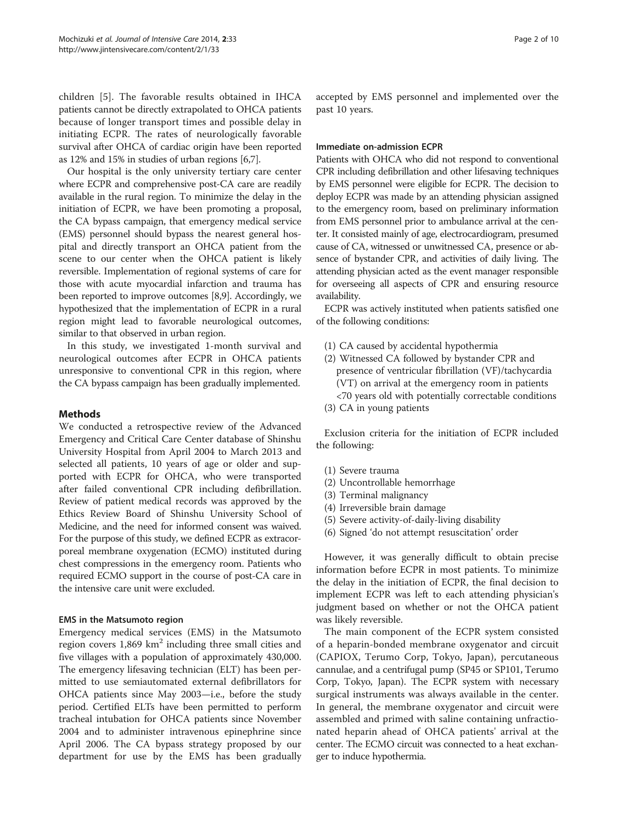children [\[5](#page-8-0)]. The favorable results obtained in IHCA patients cannot be directly extrapolated to OHCA patients because of longer transport times and possible delay in initiating ECPR. The rates of neurologically favorable survival after OHCA of cardiac origin have been reported as 12% and 15% in studies of urban regions [[6,7](#page-8-0)].

Our hospital is the only university tertiary care center where ECPR and comprehensive post-CA care are readily available in the rural region. To minimize the delay in the initiation of ECPR, we have been promoting a proposal, the CA bypass campaign, that emergency medical service (EMS) personnel should bypass the nearest general hospital and directly transport an OHCA patient from the scene to our center when the OHCA patient is likely reversible. Implementation of regional systems of care for those with acute myocardial infarction and trauma has been reported to improve outcomes [[8,9](#page-8-0)]. Accordingly, we hypothesized that the implementation of ECPR in a rural region might lead to favorable neurological outcomes, similar to that observed in urban region.

In this study, we investigated 1-month survival and neurological outcomes after ECPR in OHCA patients unresponsive to conventional CPR in this region, where the CA bypass campaign has been gradually implemented.

## Methods

We conducted a retrospective review of the Advanced Emergency and Critical Care Center database of Shinshu University Hospital from April 2004 to March 2013 and selected all patients, 10 years of age or older and supported with ECPR for OHCA, who were transported after failed conventional CPR including defibrillation. Review of patient medical records was approved by the Ethics Review Board of Shinshu University School of Medicine, and the need for informed consent was waived. For the purpose of this study, we defined ECPR as extracorporeal membrane oxygenation (ECMO) instituted during chest compressions in the emergency room. Patients who required ECMO support in the course of post-CA care in the intensive care unit were excluded.

#### EMS in the Matsumoto region

Emergency medical services (EMS) in the Matsumoto region covers  $1,869 \text{ km}^2$  including three small cities and five villages with a population of approximately 430,000. The emergency lifesaving technician (ELT) has been permitted to use semiautomated external defibrillators for OHCA patients since May 2003—i.e., before the study period. Certified ELTs have been permitted to perform tracheal intubation for OHCA patients since November 2004 and to administer intravenous epinephrine since April 2006. The CA bypass strategy proposed by our department for use by the EMS has been gradually accepted by EMS personnel and implemented over the past 10 years.

#### Immediate on-admission ECPR

Patients with OHCA who did not respond to conventional CPR including defibrillation and other lifesaving techniques by EMS personnel were eligible for ECPR. The decision to deploy ECPR was made by an attending physician assigned to the emergency room, based on preliminary information from EMS personnel prior to ambulance arrival at the center. It consisted mainly of age, electrocardiogram, presumed cause of CA, witnessed or unwitnessed CA, presence or absence of bystander CPR, and activities of daily living. The attending physician acted as the event manager responsible for overseeing all aspects of CPR and ensuring resource availability.

ECPR was actively instituted when patients satisfied one of the following conditions:

- (1) CA caused by accidental hypothermia
- (2) Witnessed CA followed by bystander CPR and presence of ventricular fibrillation (VF)/tachycardia (VT) on arrival at the emergency room in patients <70 years old with potentially correctable conditions
- (3) CA in young patients

Exclusion criteria for the initiation of ECPR included the following:

- (1) Severe trauma
- (2) Uncontrollable hemorrhage
- (3) Terminal malignancy
- (4) Irreversible brain damage
- (5) Severe activity-of-daily-living disability
- (6) Signed 'do not attempt resuscitation' order

However, it was generally difficult to obtain precise information before ECPR in most patients. To minimize the delay in the initiation of ECPR, the final decision to implement ECPR was left to each attending physician's judgment based on whether or not the OHCA patient was likely reversible.

The main component of the ECPR system consisted of a heparin-bonded membrane oxygenator and circuit (CAPIOX, Terumo Corp, Tokyo, Japan), percutaneous cannulae, and a centrifugal pump (SP45 or SP101, Terumo Corp, Tokyo, Japan). The ECPR system with necessary surgical instruments was always available in the center. In general, the membrane oxygenator and circuit were assembled and primed with saline containing unfractionated heparin ahead of OHCA patients' arrival at the center. The ECMO circuit was connected to a heat exchanger to induce hypothermia.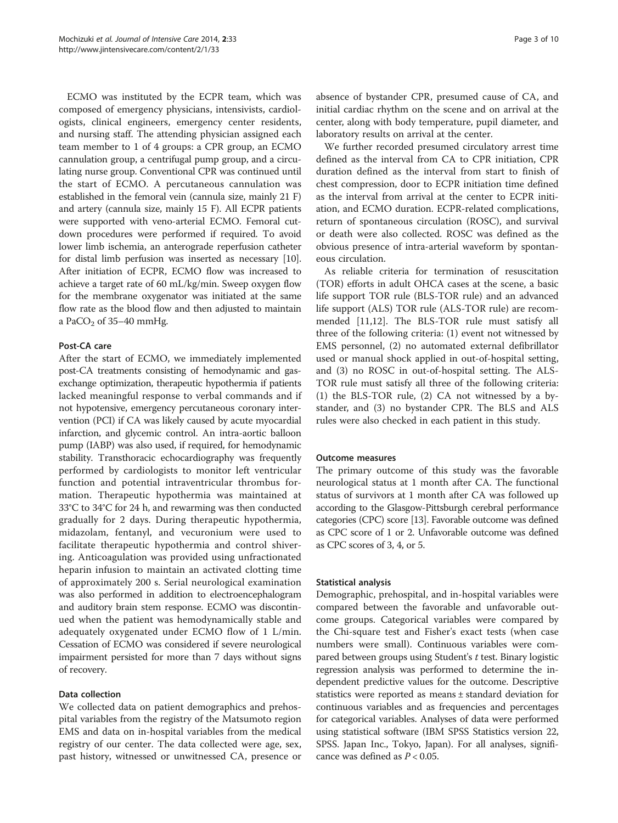ECMO was instituted by the ECPR team, which was composed of emergency physicians, intensivists, cardiologists, clinical engineers, emergency center residents, and nursing staff. The attending physician assigned each team member to 1 of 4 groups: a CPR group, an ECMO cannulation group, a centrifugal pump group, and a circulating nurse group. Conventional CPR was continued until the start of ECMO. A percutaneous cannulation was established in the femoral vein (cannula size, mainly 21 F) and artery (cannula size, mainly 15 F). All ECPR patients were supported with veno-arterial ECMO. Femoral cutdown procedures were performed if required. To avoid lower limb ischemia, an anterograde reperfusion catheter for distal limb perfusion was inserted as necessary [[10](#page-8-0)]. After initiation of ECPR, ECMO flow was increased to achieve a target rate of 60 mL/kg/min. Sweep oxygen flow for the membrane oxygenator was initiated at the same flow rate as the blood flow and then adjusted to maintain a PaCO<sub>2</sub> of  $35-40$  mmHg.

## Post-CA care

After the start of ECMO, we immediately implemented post-CA treatments consisting of hemodynamic and gasexchange optimization, therapeutic hypothermia if patients lacked meaningful response to verbal commands and if not hypotensive, emergency percutaneous coronary intervention (PCI) if CA was likely caused by acute myocardial infarction, and glycemic control. An intra-aortic balloon pump (IABP) was also used, if required, for hemodynamic stability. Transthoracic echocardiography was frequently performed by cardiologists to monitor left ventricular function and potential intraventricular thrombus formation. Therapeutic hypothermia was maintained at 33°C to 34°C for 24 h, and rewarming was then conducted gradually for 2 days. During therapeutic hypothermia, midazolam, fentanyl, and vecuronium were used to facilitate therapeutic hypothermia and control shivering. Anticoagulation was provided using unfractionated heparin infusion to maintain an activated clotting time of approximately 200 s. Serial neurological examination was also performed in addition to electroencephalogram and auditory brain stem response. ECMO was discontinued when the patient was hemodynamically stable and adequately oxygenated under ECMO flow of 1 L/min. Cessation of ECMO was considered if severe neurological impairment persisted for more than 7 days without signs of recovery.

#### Data collection

We collected data on patient demographics and prehospital variables from the registry of the Matsumoto region EMS and data on in-hospital variables from the medical registry of our center. The data collected were age, sex, past history, witnessed or unwitnessed CA, presence or

absence of bystander CPR, presumed cause of CA, and initial cardiac rhythm on the scene and on arrival at the center, along with body temperature, pupil diameter, and laboratory results on arrival at the center.

We further recorded presumed circulatory arrest time defined as the interval from CA to CPR initiation, CPR duration defined as the interval from start to finish of chest compression, door to ECPR initiation time defined as the interval from arrival at the center to ECPR initiation, and ECMO duration. ECPR-related complications, return of spontaneous circulation (ROSC), and survival or death were also collected. ROSC was defined as the obvious presence of intra-arterial waveform by spontaneous circulation.

As reliable criteria for termination of resuscitation (TOR) efforts in adult OHCA cases at the scene, a basic life support TOR rule (BLS-TOR rule) and an advanced life support (ALS) TOR rule (ALS-TOR rule) are recommended [[11,12\]](#page-8-0). The BLS-TOR rule must satisfy all three of the following criteria: (1) event not witnessed by EMS personnel, (2) no automated external defibrillator used or manual shock applied in out-of-hospital setting, and (3) no ROSC in out-of-hospital setting. The ALS-TOR rule must satisfy all three of the following criteria: (1) the BLS-TOR rule, (2) CA not witnessed by a bystander, and (3) no bystander CPR. The BLS and ALS rules were also checked in each patient in this study.

#### Outcome measures

The primary outcome of this study was the favorable neurological status at 1 month after CA. The functional status of survivors at 1 month after CA was followed up according to the Glasgow-Pittsburgh cerebral performance categories (CPC) score [\[13](#page-8-0)]. Favorable outcome was defined as CPC score of 1 or 2. Unfavorable outcome was defined as CPC scores of 3, 4, or 5.

#### Statistical analysis

Demographic, prehospital, and in-hospital variables were compared between the favorable and unfavorable outcome groups. Categorical variables were compared by the Chi-square test and Fisher's exact tests (when case numbers were small). Continuous variables were compared between groups using Student's t test. Binary logistic regression analysis was performed to determine the independent predictive values for the outcome. Descriptive statistics were reported as means ± standard deviation for continuous variables and as frequencies and percentages for categorical variables. Analyses of data were performed using statistical software (IBM SPSS Statistics version 22, SPSS. Japan Inc., Tokyo, Japan). For all analyses, significance was defined as  $P < 0.05$ .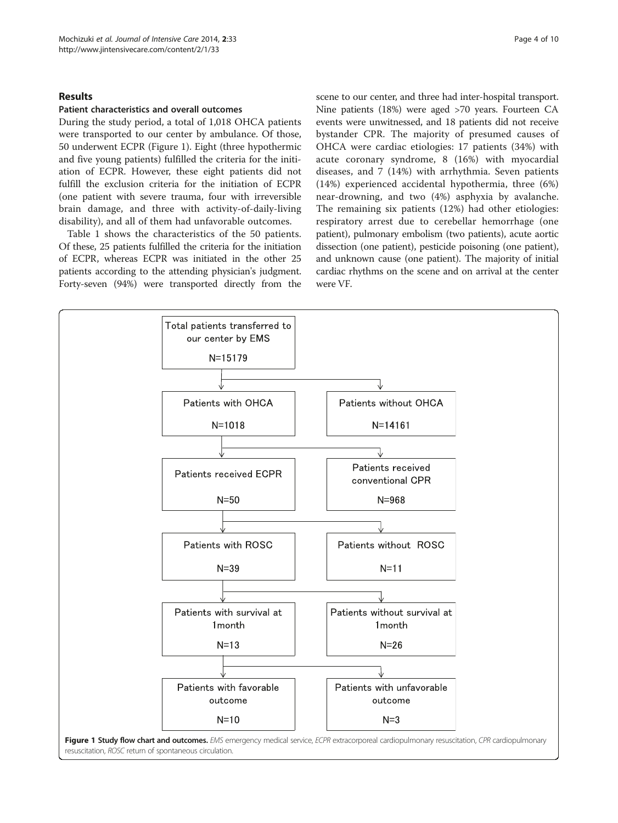## Results

#### Patient characteristics and overall outcomes

During the study period, a total of 1,018 OHCA patients were transported to our center by ambulance. Of those, 50 underwent ECPR (Figure 1). Eight (three hypothermic and five young patients) fulfilled the criteria for the initiation of ECPR. However, these eight patients did not fulfill the exclusion criteria for the initiation of ECPR (one patient with severe trauma, four with irreversible brain damage, and three with activity-of-daily-living disability), and all of them had unfavorable outcomes.

Table [1](#page-4-0) shows the characteristics of the 50 patients. Of these, 25 patients fulfilled the criteria for the initiation of ECPR, whereas ECPR was initiated in the other 25 patients according to the attending physician's judgment. Forty-seven (94%) were transported directly from the scene to our center, and three had inter-hospital transport. Nine patients (18%) were aged >70 years. Fourteen CA events were unwitnessed, and 18 patients did not receive bystander CPR. The majority of presumed causes of OHCA were cardiac etiologies: 17 patients (34%) with acute coronary syndrome, 8 (16%) with myocardial diseases, and 7 (14%) with arrhythmia. Seven patients (14%) experienced accidental hypothermia, three (6%) near-drowning, and two (4%) asphyxia by avalanche. The remaining six patients (12%) had other etiologies: respiratory arrest due to cerebellar hemorrhage (one patient), pulmonary embolism (two patients), acute aortic dissection (one patient), pesticide poisoning (one patient), and unknown cause (one patient). The majority of initial cardiac rhythms on the scene and on arrival at the center were VF.

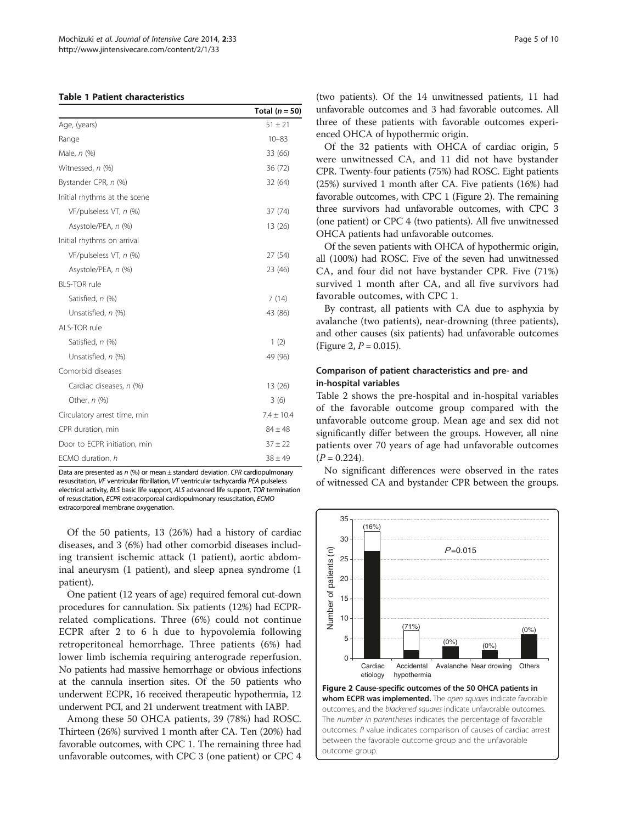#### <span id="page-4-0"></span>Table 1 Patient characteristics

|                              | Total $(n = 50)$ |
|------------------------------|------------------|
| Age, (years)                 | $51 \pm 21$      |
| Range                        | $10 - 83$        |
| Male, n (%)                  | 33 (66)          |
| Witnessed, n (%)             | 36 (72)          |
| Bystander CPR, n (%)         | 32 (64)          |
| Initial rhythms at the scene |                  |
| VF/pulseless VT, n (%)       | 37(74)           |
| Asystole/PEA, n (%)          | 13 (26)          |
| Initial rhythms on arrival   |                  |
| VF/pulseless VT, n (%)       | 27(54)           |
| Asystole/PEA, n (%)          | 23 (46)          |
| <b>BLS-TOR</b> rule          |                  |
| Satisfied, n (%)             | 7(14)            |
| Unsatisfied, n (%)           | 43 (86)          |
| ALS-TOR rule                 |                  |
| Satisfied, n (%)             | 1(2)             |
| Unsatisfied, n (%)           | 49 (96)          |
| Comorbid diseases            |                  |
| Cardiac diseases, n (%)      | 13 (26)          |
| Other, $n$ (%)               | 3(6)             |
| Circulatory arrest time, min | $7.4 \pm 10.4$   |
| CPR duration, min            | $84 \pm 48$      |
| Door to ECPR initiation, min | $37 + 22$        |
| ECMO duration, h             | $38 + 49$        |

Data are presented as  $n$  (%) or mean  $\pm$  standard deviation. CPR cardiopulmonary resuscitation, VF ventricular fibrillation, VT ventricular tachycardia PEA pulseless electrical activity, BLS basic life support, ALS advanced life support, TOR termination of resuscitation, ECPR extracorporeal cardiopulmonary resuscitation, ECMO extracorporeal membrane oxygenation.

Of the 50 patients, 13 (26%) had a history of cardiac diseases, and 3 (6%) had other comorbid diseases including transient ischemic attack (1 patient), aortic abdominal aneurysm (1 patient), and sleep apnea syndrome (1 patient).

One patient (12 years of age) required femoral cut-down procedures for cannulation. Six patients (12%) had ECPRrelated complications. Three (6%) could not continue ECPR after 2 to 6 h due to hypovolemia following retroperitoneal hemorrhage. Three patients (6%) had lower limb ischemia requiring anterograde reperfusion. No patients had massive hemorrhage or obvious infections at the cannula insertion sites. Of the 50 patients who underwent ECPR, 16 received therapeutic hypothermia, 12 underwent PCI, and 21 underwent treatment with IABP.

Among these 50 OHCA patients, 39 (78%) had ROSC. Thirteen (26%) survived 1 month after CA. Ten (20%) had favorable outcomes, with CPC 1. The remaining three had unfavorable outcomes, with CPC 3 (one patient) or CPC 4

(two patients). Of the 14 unwitnessed patients, 11 had unfavorable outcomes and 3 had favorable outcomes. All three of these patients with favorable outcomes experienced OHCA of hypothermic origin.

Of the 32 patients with OHCA of cardiac origin, 5 were unwitnessed CA, and 11 did not have bystander CPR. Twenty-four patients (75%) had ROSC. Eight patients (25%) survived 1 month after CA. Five patients (16%) had favorable outcomes, with CPC 1 (Figure 2). The remaining three survivors had unfavorable outcomes, with CPC 3 (one patient) or CPC 4 (two patients). All five unwitnessed OHCA patients had unfavorable outcomes.

Of the seven patients with OHCA of hypothermic origin, all (100%) had ROSC. Five of the seven had unwitnessed CA, and four did not have bystander CPR. Five (71%) survived 1 month after CA, and all five survivors had favorable outcomes, with CPC 1.

By contrast, all patients with CA due to asphyxia by avalanche (two patients), near-drowning (three patients), and other causes (six patients) had unfavorable outcomes (Figure 2,  $P = 0.015$ ).

## Comparison of patient characteristics and pre- and in-hospital variables

Table [2](#page-5-0) shows the pre-hospital and in-hospital variables of the favorable outcome group compared with the unfavorable outcome group. Mean age and sex did not significantly differ between the groups. However, all nine patients over 70 years of age had unfavorable outcomes  $(P = 0.224)$ .

No significant differences were observed in the rates of witnessed CA and bystander CPR between the groups.

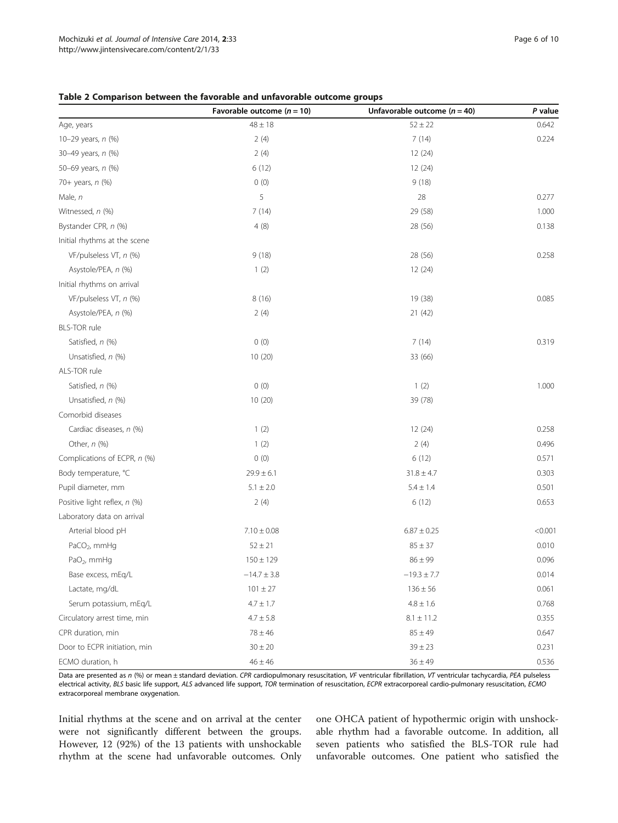<span id="page-5-0"></span>

| Table 2 Comparison between the favorable and unfavorable outcome groups |  |  |  |
|-------------------------------------------------------------------------|--|--|--|
|-------------------------------------------------------------------------|--|--|--|

|                              | Favorable outcome ( $n = 10$ ) | Unfavorable outcome $(n = 40)$ | P value |
|------------------------------|--------------------------------|--------------------------------|---------|
| Age, years                   | $48 \pm 18$                    | $52 \pm 22$                    | 0.642   |
| 10-29 years, n (%)           | 2(4)                           | 7(14)                          | 0.224   |
| 30-49 years, n (%)           | 2(4)                           | 12(24)                         |         |
| 50-69 years, n (%)           | 6(12)                          | 12(24)                         |         |
| 70+ years, n (%)             | 0(0)                           | 9(18)                          |         |
| Male, n                      | 5                              | 28                             | 0.277   |
| Witnessed, n (%)             | 7(14)                          | 29 (58)                        | 1.000   |
| Bystander CPR, n (%)         | 4(8)                           | 28 (56)                        | 0.138   |
| Initial rhythms at the scene |                                |                                |         |
| VF/pulseless VT, n (%)       | 9(18)                          | 28 (56)                        | 0.258   |
| Asystole/PEA, n (%)          | 1(2)                           | 12(24)                         |         |
| Initial rhythms on arrival   |                                |                                |         |
| VF/pulseless VT, n (%)       | 8(16)                          | 19 (38)                        | 0.085   |
| Asystole/PEA, n (%)          | 2(4)                           | 21(42)                         |         |
| <b>BLS-TOR</b> rule          |                                |                                |         |
| Satisfied, n (%)             | 0(0)                           | 7(14)                          | 0.319   |
| Unsatisfied, n (%)           | 10(20)                         | 33 (66)                        |         |
| ALS-TOR rule                 |                                |                                |         |
| Satisfied, n (%)             | 0(0)                           | 1(2)                           | 1.000   |
| Unsatisfied, n (%)           | 10 (20)                        | 39 (78)                        |         |
| Comorbid diseases            |                                |                                |         |
| Cardiac diseases, n (%)      | 1(2)                           | 12 (24)                        | 0.258   |
| Other, $n$ (%)               | 1(2)                           | 2(4)                           | 0.496   |
| Complications of ECPR, n (%) | 0(0)                           | 6(12)                          | 0.571   |
| Body temperature, °C         | $29.9 \pm 6.1$                 | $31.8 \pm 4.7$                 | 0.303   |
| Pupil diameter, mm           | $5.1 \pm 2.0$                  | $5.4 \pm 1.4$                  | 0.501   |
| Positive light reflex, n (%) | 2(4)                           | 6(12)                          | 0.653   |
| Laboratory data on arrival   |                                |                                |         |
| Arterial blood pH            | $7.10 \pm 0.08$                | $6.87 \pm 0.25$                | < 0.001 |
| PaCO <sub>2</sub> , mmHg     | $52 \pm 21$                    | $85 \pm 37$                    | 0.010   |
| PaO <sub>2</sub> , mmHq      | $150 \pm 129$                  | $86 \pm 99$                    | 0.096   |
| Base excess, mEq/L           | $-14.7 \pm 3.8$                | $-19.3 \pm 7.7$                | 0.014   |
| Lactate, mg/dL               | $101 \pm 27$                   | $136 \pm 56$                   | 0.061   |
| Serum potassium, mEq/L       | $4.7 \pm 1.7$                  | $4.8 \pm 1.6$                  | 0.768   |
| Circulatory arrest time, min | $4.7 \pm 5.8$                  | $8.1 \pm 11.2$                 | 0.355   |
| CPR duration, min            | $78 \pm 46$                    | $85\pm49$                      | 0.647   |
| Door to ECPR initiation, min | $30\pm20$                      | $39 \pm 23$                    | 0.231   |
| ECMO duration, h             | $46 \pm 46$                    | $36 \pm 49$                    | 0.536   |

Data are presented as n (%) or mean ± standard deviation. CPR cardiopulmonary resuscitation, VF ventricular fibrillation, VT ventricular tachycardia, PEA pulseless electrical activity, BLS basic life support, ALS advanced life support, TOR termination of resuscitation, ECPR extracorporeal cardio-pulmonary resuscitation, ECMO extracorporeal membrane oxygenation.

Initial rhythms at the scene and on arrival at the center were not significantly different between the groups. However, 12 (92%) of the 13 patients with unshockable rhythm at the scene had unfavorable outcomes. Only one OHCA patient of hypothermic origin with unshockable rhythm had a favorable outcome. In addition, all seven patients who satisfied the BLS-TOR rule had unfavorable outcomes. One patient who satisfied the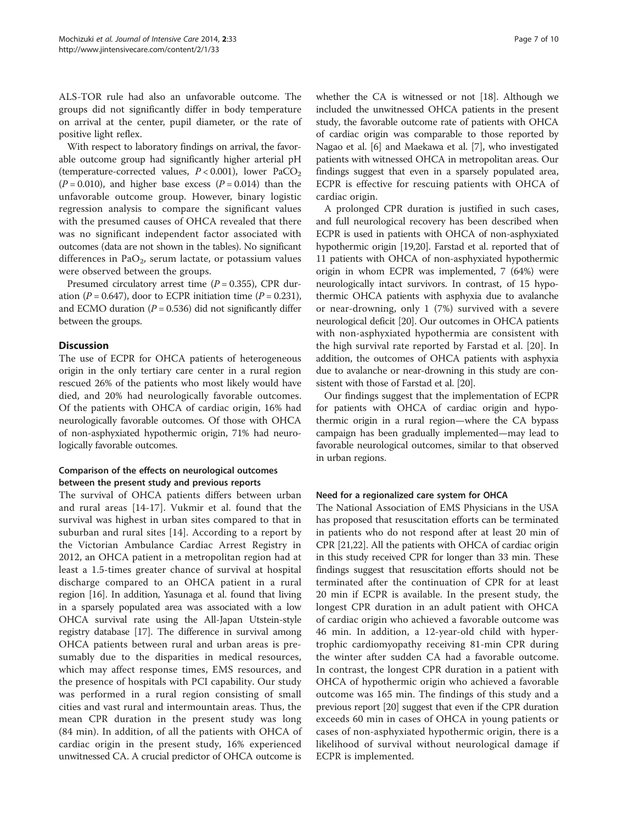ALS-TOR rule had also an unfavorable outcome. The groups did not significantly differ in body temperature on arrival at the center, pupil diameter, or the rate of positive light reflex.

With respect to laboratory findings on arrival, the favorable outcome group had significantly higher arterial pH (temperature-corrected values,  $P < 0.001$ ), lower  $PaCO<sub>2</sub>$  $(P = 0.010)$ , and higher base excess  $(P = 0.014)$  than the unfavorable outcome group. However, binary logistic regression analysis to compare the significant values with the presumed causes of OHCA revealed that there was no significant independent factor associated with outcomes (data are not shown in the tables). No significant differences in  $PaO<sub>2</sub>$ , serum lactate, or potassium values were observed between the groups.

Presumed circulatory arrest time  $(P = 0.355)$ , CPR duration ( $P = 0.647$ ), door to ECPR initiation time ( $P = 0.231$ ), and ECMO duration ( $P = 0.536$ ) did not significantly differ between the groups.

## **Discussion**

The use of ECPR for OHCA patients of heterogeneous origin in the only tertiary care center in a rural region rescued 26% of the patients who most likely would have died, and 20% had neurologically favorable outcomes. Of the patients with OHCA of cardiac origin, 16% had neurologically favorable outcomes. Of those with OHCA of non-asphyxiated hypothermic origin, 71% had neurologically favorable outcomes.

## Comparison of the effects on neurological outcomes between the present study and previous reports

The survival of OHCA patients differs between urban and rural areas [[14-17](#page-8-0)]. Vukmir et al. found that the survival was highest in urban sites compared to that in suburban and rural sites [\[14](#page-8-0)]. According to a report by the Victorian Ambulance Cardiac Arrest Registry in 2012, an OHCA patient in a metropolitan region had at least a 1.5-times greater chance of survival at hospital discharge compared to an OHCA patient in a rural region [[16](#page-8-0)]. In addition, Yasunaga et al. found that living in a sparsely populated area was associated with a low OHCA survival rate using the All-Japan Utstein-style registry database [\[17](#page-8-0)]. The difference in survival among OHCA patients between rural and urban areas is presumably due to the disparities in medical resources, which may affect response times, EMS resources, and the presence of hospitals with PCI capability. Our study was performed in a rural region consisting of small cities and vast rural and intermountain areas. Thus, the mean CPR duration in the present study was long (84 min). In addition, of all the patients with OHCA of cardiac origin in the present study, 16% experienced unwitnessed CA. A crucial predictor of OHCA outcome is whether the CA is witnessed or not [[18](#page-8-0)]. Although we included the unwitnessed OHCA patients in the present study, the favorable outcome rate of patients with OHCA of cardiac origin was comparable to those reported by Nagao et al. [\[6\]](#page-8-0) and Maekawa et al. [\[7](#page-8-0)], who investigated patients with witnessed OHCA in metropolitan areas. Our findings suggest that even in a sparsely populated area, ECPR is effective for rescuing patients with OHCA of cardiac origin.

A prolonged CPR duration is justified in such cases, and full neurological recovery has been described when ECPR is used in patients with OHCA of non-asphyxiated hypothermic origin [[19,20](#page-8-0)]. Farstad et al. reported that of 11 patients with OHCA of non-asphyxiated hypothermic origin in whom ECPR was implemented, 7 (64%) were neurologically intact survivors. In contrast, of 15 hypothermic OHCA patients with asphyxia due to avalanche or near-drowning, only 1 (7%) survived with a severe neurological deficit [[20](#page-8-0)]. Our outcomes in OHCA patients with non-asphyxiated hypothermia are consistent with the high survival rate reported by Farstad et al. [[20\]](#page-8-0). In addition, the outcomes of OHCA patients with asphyxia due to avalanche or near-drowning in this study are consistent with those of Farstad et al. [\[20](#page-8-0)].

Our findings suggest that the implementation of ECPR for patients with OHCA of cardiac origin and hypothermic origin in a rural region—where the CA bypass campaign has been gradually implemented—may lead to favorable neurological outcomes, similar to that observed in urban regions.

## Need for a regionalized care system for OHCA

The National Association of EMS Physicians in the USA has proposed that resuscitation efforts can be terminated in patients who do not respond after at least 20 min of CPR [\[21,22\]](#page-8-0). All the patients with OHCA of cardiac origin in this study received CPR for longer than 33 min. These findings suggest that resuscitation efforts should not be terminated after the continuation of CPR for at least 20 min if ECPR is available. In the present study, the longest CPR duration in an adult patient with OHCA of cardiac origin who achieved a favorable outcome was 46 min. In addition, a 12-year-old child with hypertrophic cardiomyopathy receiving 81-min CPR during the winter after sudden CA had a favorable outcome. In contrast, the longest CPR duration in a patient with OHCA of hypothermic origin who achieved a favorable outcome was 165 min. The findings of this study and a previous report [\[20\]](#page-8-0) suggest that even if the CPR duration exceeds 60 min in cases of OHCA in young patients or cases of non-asphyxiated hypothermic origin, there is a likelihood of survival without neurological damage if ECPR is implemented.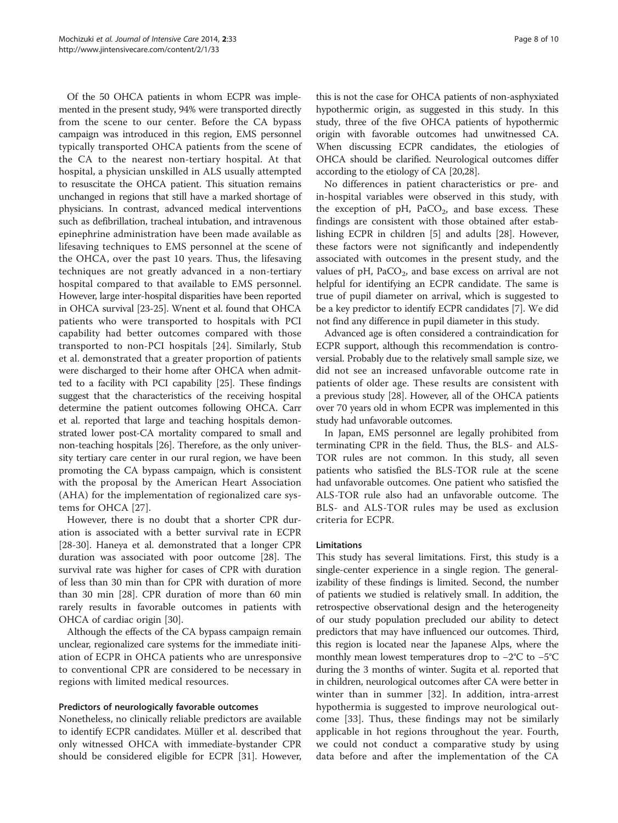Of the 50 OHCA patients in whom ECPR was implemented in the present study, 94% were transported directly from the scene to our center. Before the CA bypass campaign was introduced in this region, EMS personnel typically transported OHCA patients from the scene of the CA to the nearest non-tertiary hospital. At that hospital, a physician unskilled in ALS usually attempted to resuscitate the OHCA patient. This situation remains unchanged in regions that still have a marked shortage of physicians. In contrast, advanced medical interventions such as defibrillation, tracheal intubation, and intravenous epinephrine administration have been made available as lifesaving techniques to EMS personnel at the scene of the OHCA, over the past 10 years. Thus, the lifesaving techniques are not greatly advanced in a non-tertiary hospital compared to that available to EMS personnel. However, large inter-hospital disparities have been reported in OHCA survival [\[23-25](#page-8-0)]. Wnent et al. found that OHCA patients who were transported to hospitals with PCI capability had better outcomes compared with those transported to non-PCI hospitals [[24\]](#page-8-0). Similarly, Stub et al. demonstrated that a greater proportion of patients were discharged to their home after OHCA when admitted to a facility with PCI capability [[25](#page-8-0)]. These findings suggest that the characteristics of the receiving hospital determine the patient outcomes following OHCA. Carr et al. reported that large and teaching hospitals demonstrated lower post-CA mortality compared to small and non-teaching hospitals [\[26\]](#page-9-0). Therefore, as the only university tertiary care center in our rural region, we have been promoting the CA bypass campaign, which is consistent with the proposal by the American Heart Association (AHA) for the implementation of regionalized care systems for OHCA [[27](#page-9-0)].

However, there is no doubt that a shorter CPR duration is associated with a better survival rate in ECPR [[28-30](#page-9-0)]. Haneya et al. demonstrated that a longer CPR duration was associated with poor outcome [\[28](#page-9-0)]. The survival rate was higher for cases of CPR with duration of less than 30 min than for CPR with duration of more than 30 min [[28](#page-9-0)]. CPR duration of more than 60 min rarely results in favorable outcomes in patients with OHCA of cardiac origin [[30\]](#page-9-0).

Although the effects of the CA bypass campaign remain unclear, regionalized care systems for the immediate initiation of ECPR in OHCA patients who are unresponsive to conventional CPR are considered to be necessary in regions with limited medical resources.

#### Predictors of neurologically favorable outcomes

Nonetheless, no clinically reliable predictors are available to identify ECPR candidates. Müller et al. described that only witnessed OHCA with immediate-bystander CPR should be considered eligible for ECPR [[31\]](#page-9-0). However,

this is not the case for OHCA patients of non-asphyxiated hypothermic origin, as suggested in this study. In this study, three of the five OHCA patients of hypothermic origin with favorable outcomes had unwitnessed CA. When discussing ECPR candidates, the etiologies of OHCA should be clarified. Neurological outcomes differ according to the etiology of CA [\[20,](#page-8-0)[28](#page-9-0)].

No differences in patient characteristics or pre- and in-hospital variables were observed in this study, with the exception of  $pH$ ,  $PaCO<sub>2</sub>$ , and base excess. These findings are consistent with those obtained after establishing ECPR in children [\[5](#page-8-0)] and adults [\[28\]](#page-9-0). However, these factors were not significantly and independently associated with outcomes in the present study, and the values of pH,  $PaCO<sub>2</sub>$ , and base excess on arrival are not helpful for identifying an ECPR candidate. The same is true of pupil diameter on arrival, which is suggested to be a key predictor to identify ECPR candidates [\[7](#page-8-0)]. We did not find any difference in pupil diameter in this study.

Advanced age is often considered a contraindication for ECPR support, although this recommendation is controversial. Probably due to the relatively small sample size, we did not see an increased unfavorable outcome rate in patients of older age. These results are consistent with a previous study [\[28\]](#page-9-0). However, all of the OHCA patients over 70 years old in whom ECPR was implemented in this study had unfavorable outcomes.

In Japan, EMS personnel are legally prohibited from terminating CPR in the field. Thus, the BLS- and ALS-TOR rules are not common. In this study, all seven patients who satisfied the BLS-TOR rule at the scene had unfavorable outcomes. One patient who satisfied the ALS-TOR rule also had an unfavorable outcome. The BLS- and ALS-TOR rules may be used as exclusion criteria for ECPR.

#### Limitations

This study has several limitations. First, this study is a single-center experience in a single region. The generalizability of these findings is limited. Second, the number of patients we studied is relatively small. In addition, the retrospective observational design and the heterogeneity of our study population precluded our ability to detect predictors that may have influenced our outcomes. Third, this region is located near the Japanese Alps, where the monthly mean lowest temperatures drop to −2°C to −5°C during the 3 months of winter. Sugita et al. reported that in children, neurological outcomes after CA were better in winter than in summer [[32\]](#page-9-0). In addition, intra-arrest hypothermia is suggested to improve neurological outcome [\[33](#page-9-0)]. Thus, these findings may not be similarly applicable in hot regions throughout the year. Fourth, we could not conduct a comparative study by using data before and after the implementation of the CA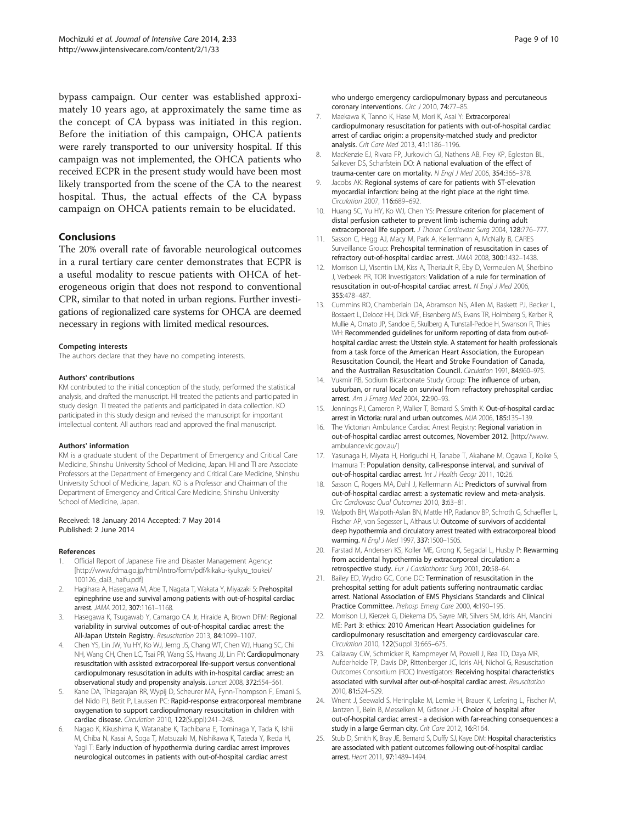<span id="page-8-0"></span>bypass campaign. Our center was established approximately 10 years ago, at approximately the same time as the concept of CA bypass was initiated in this region. Before the initiation of this campaign, OHCA patients were rarely transported to our university hospital. If this campaign was not implemented, the OHCA patients who received ECPR in the present study would have been most likely transported from the scene of the CA to the nearest hospital. Thus, the actual effects of the CA bypass campaign on OHCA patients remain to be elucidated.

#### Conclusions

The 20% overall rate of favorable neurological outcomes in a rural tertiary care center demonstrates that ECPR is a useful modality to rescue patients with OHCA of heterogeneous origin that does not respond to conventional CPR, similar to that noted in urban regions. Further investigations of regionalized care systems for OHCA are deemed necessary in regions with limited medical resources.

#### Competing interests

The authors declare that they have no competing interests.

#### Authors' contributions

KM contributed to the initial conception of the study, performed the statistical analysis, and drafted the manuscript. HI treated the patients and participated in study design. TI treated the patients and participated in data collection. KO participated in this study design and revised the manuscript for important intellectual content. All authors read and approved the final manuscript.

#### Authors' information

KM is a graduate student of the Department of Emergency and Critical Care Medicine, Shinshu University School of Medicine, Japan. HI and TI are Associate Professors at the Department of Emergency and Critical Care Medicine, Shinshu University School of Medicine, Japan. KO is a Professor and Chairman of the Department of Emergency and Critical Care Medicine, Shinshu University School of Medicine, Japan.

#### Received: 18 January 2014 Accepted: 7 May 2014 Published: 2 June 2014

#### References

- 1. Official Report of Japanese Fire and Disaster Management Agency: [[http://www.fdma.go.jp/html/intro/form/pdf/kikaku-kyukyu\\_toukei/](http://www.fdma.go.jp/html/intro/form/pdf/kikaku-kyukyu_toukei/100126_dai3_haifu.pdf) [100126\\_dai3\\_haifu.pdf](http://www.fdma.go.jp/html/intro/form/pdf/kikaku-kyukyu_toukei/100126_dai3_haifu.pdf)]
- 2. Hagihara A, Hasegawa M, Abe T, Nagata T, Wakata Y, Miyazaki S: Prehospital epinephrine use and survival among patients with out-of-hospital cardiac arrest. JAMA 2012, 307:1161–1168.
- 3. Hasegawa K, Tsugawab Y, Camargo CA Jr, Hiraide A, Brown DFM: Regional variability in survival outcomes of out-of-hospital cardiac arrest: the All-Japan Utstein Registry. Resuscitation 2013, 84:1099–1107.
- 4. Chen YS, Lin JW, Yu HY, Ko WJ, Jerng JS, Chang WT, Chen WJ, Huang SC, Chi NH, Wang CH, Chen LC, Tsai PR, Wang SS, Hwang JJ, Lin FY: Cardiopulmonary resuscitation with assisted extracorporeal life-support versus conventional cardiopulmonary resuscitation in adults with in-hospital cardiac arrest: an observational study and propensity analysis. Lancet 2008, 372:554–561.
- 5. Kane DA, Thiagarajan RR, Wypij D, Scheurer MA, Fynn-Thompson F, Emani S, del Nido PJ, Betit P, Laussen PC: Rapid-response extracorporeal membrane oxygenation to support cardiopulmonary resuscitation in children with cardiac disease. Circulation 2010, 122(Suppl):241–248.
- 6. Nagao K, Kikushima K, Watanabe K, Tachibana E, Tominaga Y, Tada K, Ishii M, Chiba N, Kasai A, Soga T, Matsuzaki M, Nishikawa K, Tateda Y, Ikeda H, Yagi T: Early induction of hypothermia during cardiac arrest improves neurological outcomes in patients with out-of-hospital cardiac arrest

who undergo emergency cardiopulmonary bypass and percutaneous coronary interventions. Circ J 2010, 74:77-85.

- 7. Maekawa K, Tanno K, Hase M, Mori K, Asai Y: Extracorporeal cardiopulmonary resuscitation for patients with out-of-hospital cardiac arrest of cardiac origin: a propensity-matched study and predictor analysis. Crit Care Med 2013, 41:1186–1196.
- 8. MacKenzie EJ, Rivara FP, Jurkovich GJ, Nathens AB, Frey KP, Egleston BL, Salkever DS, Scharfstein DO: A national evaluation of the effect of trauma-center care on mortality. N Engl J Med 2006, 354:366–378.
- 9. Jacobs AK: Regional systems of care for patients with ST-elevation myocardial infarction: being at the right place at the right time. Circulation 2007, 116:689–692.
- 10. Huang SC, Yu HY, Ko WJ, Chen YS: Pressure criterion for placement of distal perfusion catheter to prevent limb ischemia during adult extracorporeal life support. J Thorac Cardiovasc Surg 2004, 128:776-777.
- 11. Sasson C, Hegg AJ, Macy M, Park A, Kellermann A, McNally B, CARES Surveillance Group: Prehospital termination of resuscitation in cases of refractory out-of-hospital cardiac arrest. JAMA 2008, 300:1432–1438.
- 12. Morrison LJ, Visentin LM, Kiss A, Theriault R, Eby D, Vermeulen M, Sherbino J, Verbeek PR, TOR Investigators: Validation of a rule for termination of resuscitation in out-of-hospital cardiac arrest. N Engl J Med 2006, 355:478–487.
- 13. Cummins RO, Chamberlain DA, Abramson NS, Allen M, Baskett PJ, Becker L, Bossaert L, Delooz HH, Dick WF, Eisenberg MS, Evans TR, Holmberg S, Kerber R, Mullie A, Ornato JP, Sandoe E, Skulberg A, Tunstall-Pedoe H, Swanson R, Thies WH: Recommended guidelines for uniform reporting of data from out-ofhospital cardiac arrest: the Utstein style. A statement for health professionals from a task force of the American Heart Association, the European Resuscitation Council, the Heart and Stroke Foundation of Canada, and the Australian Resuscitation Council. Circulation 1991, 84:960–975.
- 14. Vukmir RB, Sodium Bicarbonate Study Group: The influence of urban, suburban, or rural locale on survival from refractory prehospital cardiac arrest. Am J Emerg Med 2004, 22:90–93.
- 15. Jennings PJ, Cameron P, Walker T, Bernard S, Smith K: Out-of-hospital cardiac arrest in Victoria: rural and urban outcomes. MJA 2006, 185:135–139.
- 16. The Victorian Ambulance Cardiac Arrest Registry: Regional variation in out-of-hospital cardiac arrest outcomes, November 2012. [\[http://www.](http://www.ambulance.vic.gov.au/) [ambulance.vic.gov.au/\]](http://www.ambulance.vic.gov.au/)
- 17. Yasunaga H, Miyata H, Horiguchi H, Tanabe T, Akahane M, Ogawa T, Koike S, Imamura T: Population density, call-response interval, and survival of out-of-hospital cardiac arrest. Int J Health Geogr 2011, 10:26.
- 18. Sasson C, Rogers MA, Dahl J, Kellermann AL: Predictors of survival from out-of-hospital cardiac arrest: a systematic review and meta-analysis. Circ Cardiovasc Qual Outcomes 2010, 3:63–81.
- 19. Walpoth BH, Walpoth-Aslan BN, Mattle HP, Radanov BP, Schroth G, Schaeffler L, Fischer AP, von Segesser L, Althaus U: Outcome of survivors of accidental deep hypothermia and circulatory arrest treated with extracorporeal blood warming. N Engl J Med 1997, 337:1500–1505.
- 20. Farstad M, Andersen KS, Koller ME, Grong K, Segadal L, Husby P: Rewarming from accidental hypothermia by extracorporeal circulation: a retrospective study. Eur J Cardiothorac Surg 2001, 20:58–64.
- 21. Bailey ED, Wydro GC, Cone DC: Termination of resuscitation in the prehospital setting for adult patients suffering nontraumatic cardiac arrest. National Association of EMS Physicians Standards and Clinical Practice Committee. Prehosp Emerg Care 2000, 4:190–195.
- 22. Morrison LJ, Kierzek G, Diekema DS, Sayre MR, Silvers SM, Idris AH, Mancini ME: Part 3: ethics: 2010 American Heart Association guidelines for cardiopulmonary resuscitation and emergency cardiovascular care. Circulation 2010, 122(Suppl 3):665–675.
- 23. Callaway CW, Schmicker R, Kampmeyer M, Powell J, Rea TD, Daya MR, Aufderheide TP, Davis DP, Rittenberger JC, Idris AH, Nichol G, Resuscitation Outcomes Consortium (ROC) Investigators: Receiving hospital characteristics associated with survival after out-of-hospital cardiac arrest. Resuscitation 2010, 81:524–529.
- 24. Wnent J, Seewald S, Heringlake M, Lemke H, Brauer K, Lefering L, Fischer M, Jantzen T, Bein B, Messelken M, Gräsner J-T: Choice of hospital after out-of-hospital cardiac arrest - a decision with far-reaching consequences: a study in a large German city. Crit Care 2012, 16:R164.
- 25. Stub D, Smith K, Bray JE, Bernard S, Duffy SJ, Kaye DM: Hospital characteristics are associated with patient outcomes following out-of-hospital cardiac arrest. Heart 2011, 97:1489–1494.